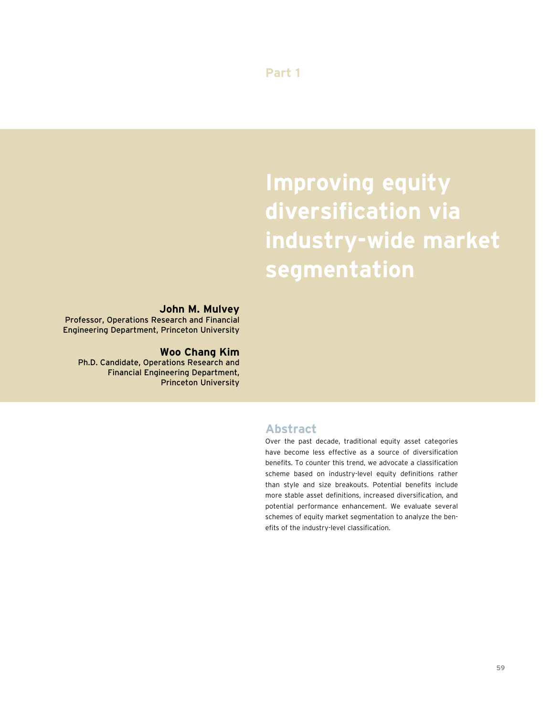**Part 1**

# **Improving equity diversification via industry-wide market segmentation**

### **John M. Mulvey**

Professor, Operations Research and Financial Engineering Department, Princeton University

### **Woo Chang Kim**

Ph.D. Candidate, Operations Research and Financial Engineering Department, Princeton University

### **Abstract**

Over the past decade, traditional equity asset categories have become less effective as a source of diversification benefits. To counter this trend, we advocate a classification scheme based on industry-level equity definitions rather than style and size breakouts. Potential benefits include more stable asset definitions, increased diversification, and potential performance enhancement. We evaluate several schemes of equity market segmentation to analyze the benefits of the industry-level classification.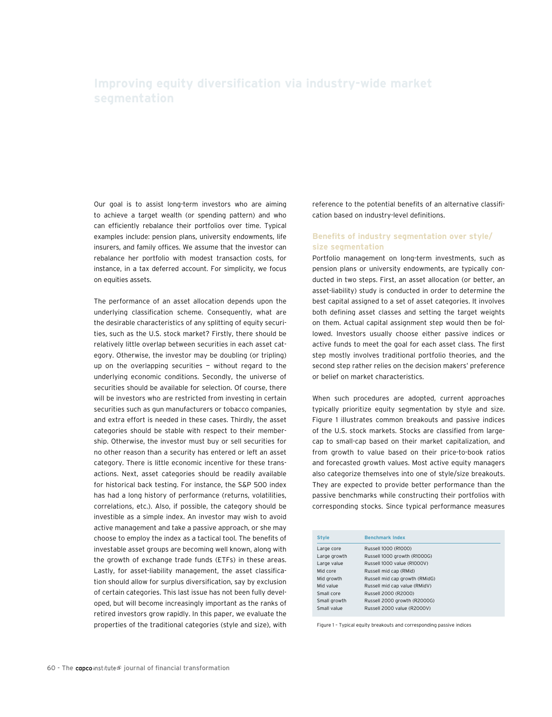Our goal is to assist long-term investors who are aiming to achieve a target wealth (or spending pattern) and who can efficiently rebalance their portfolios over time. Typical examples include: pension plans, university endowments, life insurers, and family offices. We assume that the investor can rebalance her portfolio with modest transaction costs, for instance, in a tax deferred account. For simplicity, we focus on equities assets.

The performance of an asset allocation depends upon the underlying classification scheme. Consequently, what are the desirable characteristics of any splitting of equity securities, such as the U.S. stock market? Firstly, there should be relatively little overlap between securities in each asset category. Otherwise, the investor may be doubling (or tripling) up on the overlapping securities  $-$  without regard to the underlying economic conditions. Secondly, the universe of securities should be available for selection. Of course, there will be investors who are restricted from investing in certain securities such as gun manufacturers or tobacco companies, and extra effort is needed in these cases. Thirdly, the asset categories should be stable with respect to their membership. Otherwise, the investor must buy or sell securities for no other reason than a security has entered or left an asset category. There is little economic incentive for these transactions. Next, asset categories should be readily available for historical back testing. For instance, the S&P 500 index has had a long history of performance (returns, volatilities, correlations, etc.). Also, if possible, the category should be investible as a simple index. An investor may wish to avoid active management and take a passive approach, or she may choose to employ the index as a tactical tool. The benefits of investable asset groups are becoming well known, along with the growth of exchange trade funds (ETFs) in these areas. Lastly, for asset-liability management, the asset classification should allow for surplus diversification, say by exclusion of certain categories. This last issue has not been fully developed, but will become increasingly important as the ranks of retired investors grow rapidly. In this paper, we evaluate the properties of the traditional categories (style and size), with

reference to the potential benefits of an alternative classification based on industry-level definitions.

#### **Benefits of industry segmentation over style/ size segmentation**

Portfolio management on long-term investments, such as pension plans or university endowments, are typically conducted in two steps. First, an asset allocation (or better, an asset-liability) study is conducted in order to determine the best capital assigned to a set of asset categories. It involves both defining asset classes and setting the target weights on them. Actual capital assignment step would then be followed. Investors usually choose either passive indices or active funds to meet the goal for each asset class. The first step mostly involves traditional portfolio theories, and the second step rather relies on the decision makers' preference or belief on market characteristics.

When such procedures are adopted, current approaches typically prioritize equity segmentation by style and size. Figure 1 illustrates common breakouts and passive indices of the U.S. stock markets. Stocks are classified from largecap to small-cap based on their market capitalization, and from growth to value based on their price-to-book ratios and forecasted growth values. Most active equity managers also categorize themselves into one of style/size breakouts. They are expected to provide better performance than the passive benchmarks while constructing their portfolios with corresponding stocks. Since typical performance measures

| <b>Style</b> | <b>Benchmark Index</b>         |  |
|--------------|--------------------------------|--|
| Large core   | Russell 1000 (R1000)           |  |
| Large growth | Russell 1000 growth (R1000G)   |  |
| Large value  | Russell 1000 value (R1000V)    |  |
| Mid core     | Russell mid cap (RMid)         |  |
| Mid growth   | Russell mid cap growth (RMidG) |  |
| Mid value    | Russell mid cap value (RMidV)  |  |
| Small core   | Russell 2000 (R2000)           |  |
| Small growth | Russell 2000 growth (R2000G)   |  |
| Small value  | Russell 2000 value (R2000V)    |  |

Figure 1 – Typical equity breakouts and corresponding passive indices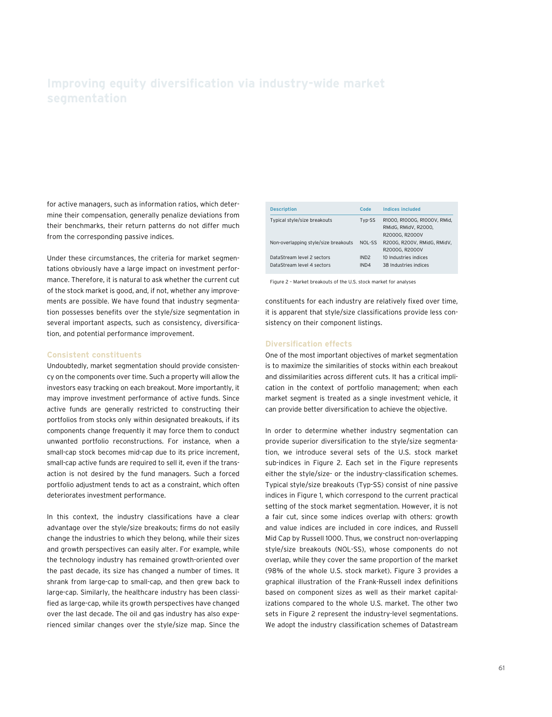for active managers, such as information ratios, which determine their compensation, generally penalize deviations from their benchmarks, their return patterns do not differ much from the corresponding passive indices.

Under these circumstances, the criteria for market segmentations obviously have a large impact on investment performance. Therefore, it is natural to ask whether the current cut of the stock market is good, and, if not, whether any improvements are possible. We have found that industry segmentation possesses benefits over the style/size segmentation in several important aspects, such as consistency, diversification, and potential performance improvement.

#### **Consistent constituents**

Undoubtedly, market segmentation should provide consistency on the components over time. Such a property will allow the investors easy tracking on each breakout. More importantly, it may improve investment performance of active funds. Since active funds are generally restricted to constructing their portfolios from stocks only within designated breakouts, if its components change frequently it may force them to conduct unwanted portfolio reconstructions. For instance, when a small-cap stock becomes mid-cap due to its price increment, small-cap active funds are required to sell it, even if the transaction is not desired by the fund managers. Such a forced portfolio adjustment tends to act as a constraint, which often deteriorates investment performance.

In this context, the industry classifications have a clear advantage over the style/size breakouts; firms do not easily change the industries to which they belong, while their sizes and growth perspectives can easily alter. For example, while the technology industry has remained growth-oriented over the past decade, its size has changed a number of times. It shrank from large-cap to small-cap, and then grew back to large-cap. Similarly, the healthcare industry has been classified as large-cap, while its growth perspectives have changed over the last decade. The oil and gas industry has also experienced similar changes over the style/size map. Since the

| <b>Description</b>                                       | Code                     | <b>Indices included</b>                                                |
|----------------------------------------------------------|--------------------------|------------------------------------------------------------------------|
| Typical style/size breakouts                             | Typ-SS                   | R1000, R1000G, R1000V, RMid.<br>RMidG, RMidV, R2000,<br>R2000G, R2000V |
| Non-overlapping style/size breakouts                     | NOL-SS                   | R200G. R200V. RMidG. RMidV.<br>R2000G, R2000V                          |
| DataStream level 2 sectors<br>DataStream level 4 sectors | IND <sub>2</sub><br>IND4 | 10 Industries indices<br>38 Industries indices                         |

Figure 2 – Market breakouts of the U.S. stock market for analyses

constituents for each industry are relatively fixed over time, it is apparent that style/size classifications provide less consistency on their component listings.

#### **Diversification effects**

One of the most important objectives of market segmentation is to maximize the similarities of stocks within each breakout and dissimilarities across different cuts. It has a critical implication in the context of portfolio management; when each market segment is treated as a single investment vehicle, it can provide better diversification to achieve the objective.

In order to determine whether industry segmentation can provide superior diversification to the style/size segmentation, we introduce several sets of the U.S. stock market sub-indices in Figure 2. Each set in the Figure represents either the style/size- or the industry-classification schemes. Typical style/size breakouts (Typ-SS) consist of nine passive indices in Figure 1, which correspond to the current practical setting of the stock market segmentation. However, it is not a fair cut, since some indices overlap with others: growth and value indices are included in core indices, and Russell Mid Cap by Russell 1000. Thus, we construct non-overlapping style/size breakouts (NOL-SS), whose components do not overlap, while they cover the same proportion of the market (98% of the whole U.S. stock market). Figure 3 provides a graphical illustration of the Frank-Russell index definitions based on component sizes as well as their market capitalizations compared to the whole U.S. market. The other two sets in Figure 2 represent the industry-level segmentations. We adopt the industry classification schemes of Datastream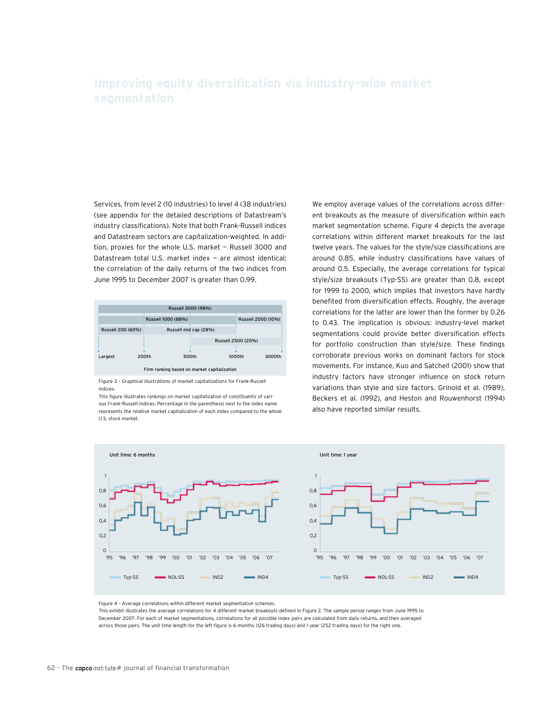Services, from level 2 (10 industries) to level 4 (38 industries) (see appendix for the detailed descriptions of Datastream's industry classifications). Note that both Frank-Russell indices and Datastream sectors are capitalization-weighted. In addition, proxies for the whole U.S. market — Russell 3000 and Datastream total U.S. market index — are almost identical; the correlation of the daily returns of the two indices from June 1995 to December 2007 is greater than 0.99.



Figure 3 – Graphical illustrations of market capitalizations for Frank-Russell indices.

This figure illustrates rankings on market capitalization of constituents of various Frank-Russell Indices. Percentage in the parenthesis next to the index name represents the relative market capitalization of each index compared to the whole U.S. stock market.

We employ average values of the correlations across different breakouts as the measure of diversification within each market segmentation scheme. Figure 4 depicts the average correlations within different market breakouts for the last twelve years. The values for the style/size classifications are around 0.85, while industry classifications have values of around 0.5. Especially, the average correlations for typical style/size breakouts (Typ-SS) are greater than 0.8, except for 1999 to 2000, which implies that investors have hardly benefited from diversification effects. Roughly, the average correlations for the latter are lower than the former by 0.26 to 0.43. The implication is obvious: industry-level market segmentations could provide better diversification effects for portfolio construction than style/size. These findings corroborate previous works on dominant factors for stock movements. For instance, Kuo and Satchell (2001) show that industry factors have stronger influence on stock return variations than style and size factors. Grinold et al. (1989), Beckers et al. (1992), and Heston and Rouwenhorst (1994) also have reported similar results.



Figure 4 – Average correlations within different market segmentation schemes.

This exhibit illustrates the average correlations for 4 different market breakouts defined in Figure 2. The sample period ranges from June 1995 to December 2007. For each of market segmentations, correlations for all possible index pairs are calculated from daily returns, and then averaged across those pairs. The unit time length for the left figure is 6 months (126 trading days) and 1 year (252 trading days) for the right one.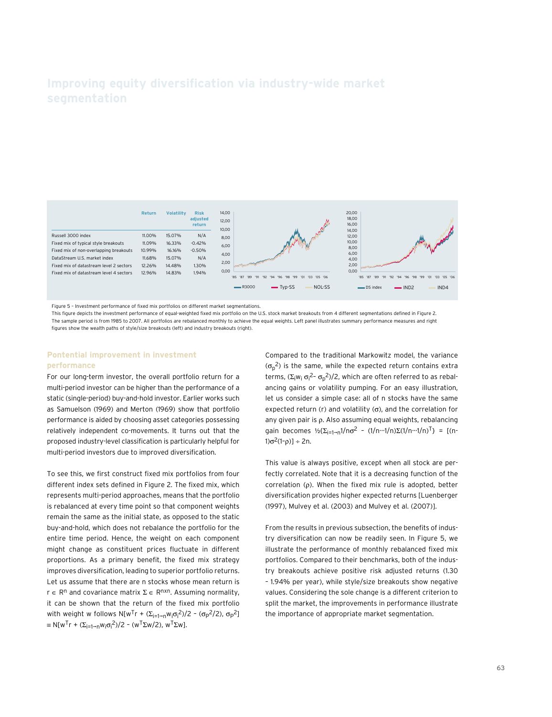

Figure 5 – Investment performance of fixed mix portfolios on different market segmentations.

This figure depicts the investment performance of equal-weighted fixed mix portfolio on the U.S. stock market breakouts from 4 different segmentations defined in Figure 2. The sample period is from 1985 to 2007. All portfolios are rebalanced monthly to achieve the equal weights. Left panel illustrates summary performance measures and right figures show the wealth paths of style/size breakouts (left) and industry breakouts (right).

#### **Pontential improvement in investment performance**

For our long-term investor, the overall portfolio return for a multi-period investor can be higher than the performance of a static (single-period) buy-and-hold investor. Earlier works such as Samuelson (1969) and Merton (1969) show that portfolio performance is aided by choosing asset categories possessing relatively independent co-movements. It turns out that the proposed industry-level classification is particularly helpful for multi-period investors due to improved diversification.

To see this, we first construct fixed mix portfolios from four different index sets defined in Figure 2. The fixed mix, which represents multi-period approaches, means that the portfolio is rebalanced at every time point so that component weights remain the same as the initial state, as opposed to the static buy-and-hold, which does not rebalance the portfolio for the entire time period. Hence, the weight on each component might change as constituent prices fluctuate in different proportions. As a primary benefit, the fixed mix strategy improves diversification, leading to superior portfolio returns. Let us assume that there are n stocks whose mean return is  $r \in \mathbb{R}^n$  and covariance matrix  $\Sigma \in \mathbb{R}^{n \times n}$ . Assuming normality, it can be shown that the return of the fixed mix portfolio with weight w follows N[w<sup>T</sup>r + (Σ<sub>i=1→n</sub>w<sub>i</sub>σ<sub>i</sub><sup>2</sup>)/2 - (σ<sub>P</sub><sup>2</sup>/2), σ<sub>P</sub><sup>2</sup>]  $\equiv N[w^{T}r + (\Sigma_{i=1\rightarrow N}w_{i}\sigma_{i}^{2})/2 - (w^{T}\Sigma w/2), w^{T}\Sigma w].$ 

Compared to the traditional Markowitz model, the variance  $(\sigma_p^2)$  is the same, while the expected return contains extra terms, (Σ<sub>i</sub>w<sub>i</sub> σ<sub>i</sub><sup>2</sup>- σ<sub>p</sub><sup>2</sup>)/2, which are often referred to as rebalancing gains or volatility pumping. For an easy illustration, let us consider a simple case: all of n stocks have the same expected return (r) and volatility (σ), and the correlation for any given pair is ρ. Also assuming equal weights, rebalancing gain becomes  $\frac{1}{2} \left[ \sum_{i=1}^n 1/n\sigma^2 - (1/n \cdot \frac{1}{n}) \sum_{i=1}^n (1/n \cdot \frac{1}{n}) \right] = [(n-1)(n-1)/n]$ 1)σ<sup>2</sup>(1-ρ)] ÷ 2n.

This value is always positive, except when all stock are perfectly correlated. Note that it is a decreasing function of the correlation (ρ). When the fixed mix rule is adopted, better diversification provides higher expected returns [Luenberger (1997), Mulvey et al. (2003) and Mulvey et al. (2007)].

From the results in previous subsection, the benefits of industry diversification can now be readily seen. In Figure 5, we illustrate the performance of monthly rebalanced fixed mix portfolios. Compared to their benchmarks, both of the industry breakouts achieve positive risk adjusted returns (1.30 – 1.94% per year), while style/size breakouts show negative values. Considering the sole change is a different criterion to split the market, the improvements in performance illustrate the importance of appropriate market segmentation.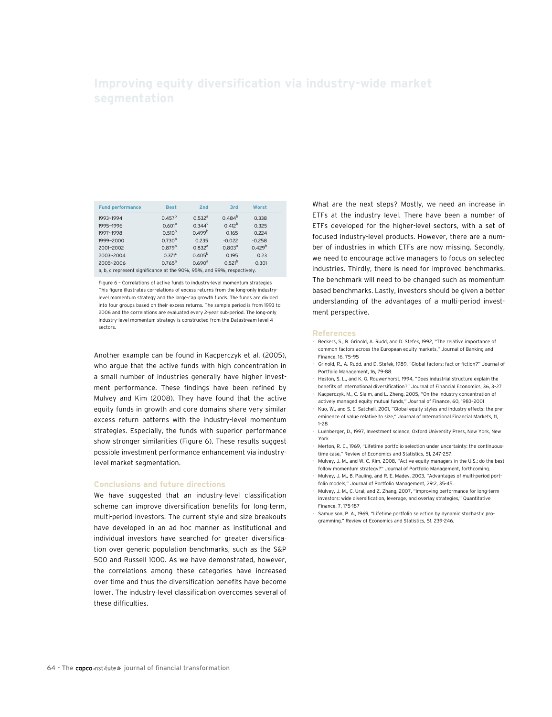| <b>Fund performance</b>                                                | <b>Best</b>        | 2nd                | 3rd                | Worst       |  |
|------------------------------------------------------------------------|--------------------|--------------------|--------------------|-------------|--|
| 1993~1994                                                              | $0.457^{b}$        | 0.532 <sup>a</sup> | $0.484^{b}$        | 0.338       |  |
| 1995~1996                                                              | 0.601 <sup>a</sup> | $0.344^c$          | $0.412^{b}$        | 0.325       |  |
| 1997~1998                                                              | $0.510^{b}$        | $0.499^{b}$        | 0.165              | 0.224       |  |
| 1999~2000                                                              | $0.730^{a}$        | 0.235              | $-0.022$           | $-0.258$    |  |
| 2001~2002                                                              | 0.879 <sup>a</sup> | 0.832 <sup>a</sup> | 0.803 <sup>a</sup> | $0.429^{b}$ |  |
| 2003~2004                                                              | $0.371^c$          | $0.405^{b}$        | 0.195              | 0.23        |  |
| 2005~2006                                                              | $0.765^{\text{a}}$ | 0.690 <sup>a</sup> | $0.521^{b}$        | 0.301       |  |
| a, b, c represent significance at the 90%, 95%, and 99%, respectively. |                    |                    |                    |             |  |

Figure 6 – Correlations of active funds to industry-level momentum strategies This figure illustrates correlations of excess returns from the long-only industrylevel momentum strategy and the large-cap growth funds. The funds are divided into four groups based on their excess returns. The sample period is from 1993 to 2006 and the correlations are evaluated every 2-year sub-period. The long-only industry-level momentum strategy is constructed from the Datastream level 4 sectors.

Another example can be found in Kacperczyk et al. (2005), who argue that the active funds with high concentration in a small number of industries generally have higher investment performance. These findings have been refined by Mulvey and Kim (2008). They have found that the active equity funds in growth and core domains share very similar excess return patterns with the industry-level momentum strategies. Especially, the funds with superior performance show stronger similarities (Figure 6). These results suggest possible investment performance enhancement via industrylevel market segmentation.

#### **Conclusions and future directions**

We have suggested that an industry-level classification scheme can improve diversification benefits for long-term, multi-period investors. The current style and size breakouts have developed in an ad hoc manner as institutional and individual investors have searched for greater diversification over generic population benchmarks, such as the S&P 500 and Russell 1000. As we have demonstrated, however, the correlations among these categories have increased over time and thus the diversification benefits have become lower. The industry-level classification overcomes several of these difficulties.

What are the next steps? Mostly, we need an increase in ETFs at the industry level. There have been a number of ETFs developed for the higher-level sectors, with a set of focused industry-level products. However, there are a number of industries in which ETFs are now missing. Secondly, we need to encourage active managers to focus on selected industries. Thirdly, there is need for improved benchmarks. The benchmark will need to be changed such as momentum based benchmarks. Lastly, investors should be given a better understanding of the advantages of a multi-period investment perspective.

#### **References**

- Beckers, S., R. Grinold, A. Rudd, and D. Stefek, 1992, "The relative importance of common factors across the European equity markets," Journal of Banking and Finance, 16, 75–95
- Grinold, R., A. Rudd, and D. Stefek, 1989, "Global factors: fact or fiction?" Journal of Portfolio Management, 16, 79-88.
- Heston, S. L., and K. G. Rouwenhorst, 1994, "Does industrial structure explain the benefits of international diversification?" Journal of Financial Economics, 36, 3–27
- Kacperczyk, M., C. Sialm, and L. Zheng, 2005, "On the industry concentration of actively managed equity mutual funds," Journal of Finance, 60, 1983–2001
- Kuo, W., and S. E. Satchell, 2001, "Global equity styles and industry effects: the preeminence of value relative to size," Journal of International Financial Markets, 11, 1–28
- Luenberger, D., 1997, Investment science, Oxford University Press, New York, New York
- Merton, R. C., 1969, "Lifetime portfolio selection under uncertainty: the continuoustime case," Review of Economics and Statistics, 51, 247-257.
- Mulvey, J. M., and W. C. Kim, 2008, "Active equity managers in the U.S.: do the best follow momentum strategy?" Journal of Portfolio Management, forthcoming.
- Mulvey, J. M., B. Pauling, and R. E. Madey, 2003, "Advantages of multi-period portfolio models," Journal of Portfolio Management, 29:2, 35-45.
- Mulvey, J. M., C. Ural, and Z. Zhang, 2007, "Improving performance for long-term investors: wide diversification, leverage, and overlay strategies," Quantitative
- Finance, 7, 175-187 • Samuelson, P. A., 1969, "Lifetime portfolio selection by dynamic stochastic programming," Review of Economics and Statistics, 51, 239-246.